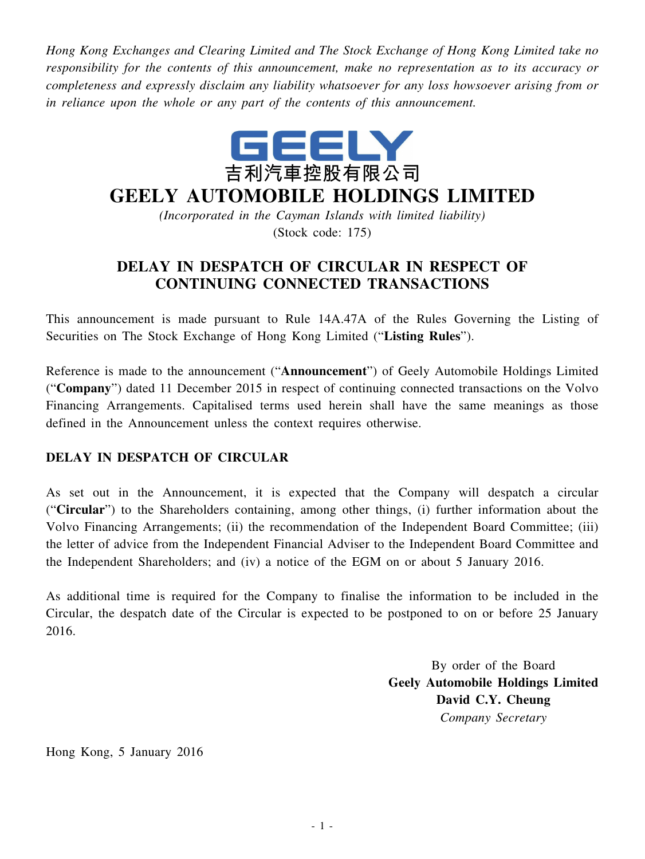*Hong Kong Exchanges and Clearing Limited and The Stock Exchange of Hong Kong Limited take no responsibility for the contents of this announcement, make no representation as to its accuracy or completeness and expressly disclaim any liability whatsoever for any loss howsoever arising from or in reliance upon the whole or any part of the contents of this announcement.*



## **GEELY AUTOMOBILE HOLDINGS LIMITED**

*(Incorporated in the Cayman Islands with limited liability)* (Stock code: 175)

## **DELAY IN DESPATCH OF CIRCULAR IN RESPECT OF CONTINUING CONNECTED TRANSACTIONS**

This announcement is made pursuant to Rule 14A.47A of the Rules Governing the Listing of Securities on The Stock Exchange of Hong Kong Limited ("**Listing Rules**").

Reference is made to the announcement ("**Announcement**") of Geely Automobile Holdings Limited ("**Company**") dated 11 December 2015 in respect of continuing connected transactions on the Volvo Financing Arrangements. Capitalised terms used herein shall have the same meanings as those defined in the Announcement unless the context requires otherwise.

## **DELAY IN DESPATCH OF CIRCULAR**

As set out in the Announcement, it is expected that the Company will despatch a circular ("**Circular**") to the Shareholders containing, among other things, (i) further information about the Volvo Financing Arrangements; (ii) the recommendation of the Independent Board Committee; (iii) the letter of advice from the Independent Financial Adviser to the Independent Board Committee and the Independent Shareholders; and (iv) a notice of the EGM on or about 5 January 2016.

As additional time is required for the Company to finalise the information to be included in the Circular, the despatch date of the Circular is expected to be postponed to on or before 25 January 2016.

> By order of the Board **Geely Automobile Holdings Limited David C.Y. Cheung** *Company Secretary*

Hong Kong, 5 January 2016